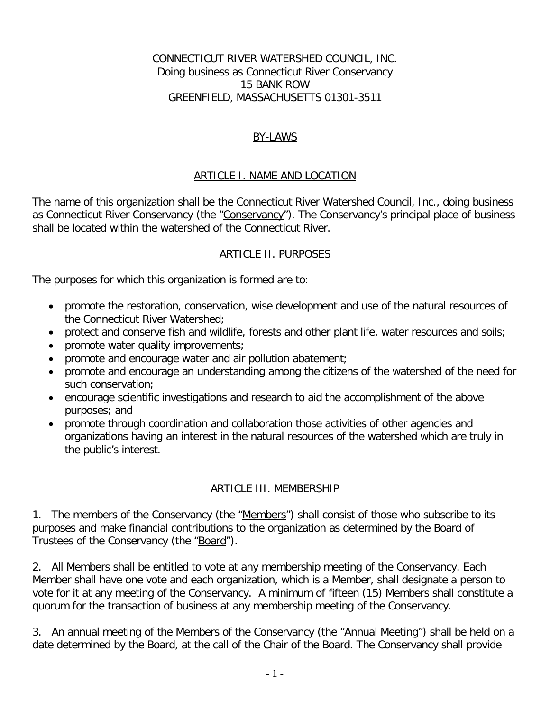#### CONNECTICUT RIVER WATERSHED COUNCIL, INC. Doing business as Connecticut River Conservancy 15 BANK ROW GREENFIELD, MASSACHUSETTS 01301-3511

### BY-LAWS

### ARTICLE I. NAME AND LOCATION

The name of this organization shall be the Connecticut River Watershed Council, Inc., doing business as Connecticut River Conservancy (the "Conservancy"). The Conservancy's principal place of business shall be located within the watershed of the Connecticut River.

### ARTICLE II. PURPOSES

The purposes for which this organization is formed are to:

- promote the restoration, conservation, wise development and use of the natural resources of the Connecticut River Watershed;
- protect and conserve fish and wildlife, forests and other plant life, water resources and soils;
- promote water quality improvements;
- promote and encourage water and air pollution abatement;
- promote and encourage an understanding among the citizens of the watershed of the need for such conservation;
- encourage scientific investigations and research to aid the accomplishment of the above purposes; and
- promote through coordination and collaboration those activities of other agencies and organizations having an interest in the natural resources of the watershed which are truly in the public's interest.

### ARTICLE III. MEMBERSHIP

1. The members of the Conservancy (the "Members") shall consist of those who subscribe to its purposes and make financial contributions to the organization as determined by the Board of Trustees of the Conservancy (the "Board").

2. All Members shall be entitled to vote at any membership meeting of the Conservancy. Each Member shall have one vote and each organization, which is a Member, shall designate a person to vote for it at any meeting of the Conservancy. A minimum of fifteen (15) Members shall constitute a quorum for the transaction of business at any membership meeting of the Conservancy.

3. An annual meeting of the Members of the Conservancy (the "Annual Meeting") shall be held on a date determined by the Board, at the call of the Chair of the Board. The Conservancy shall provide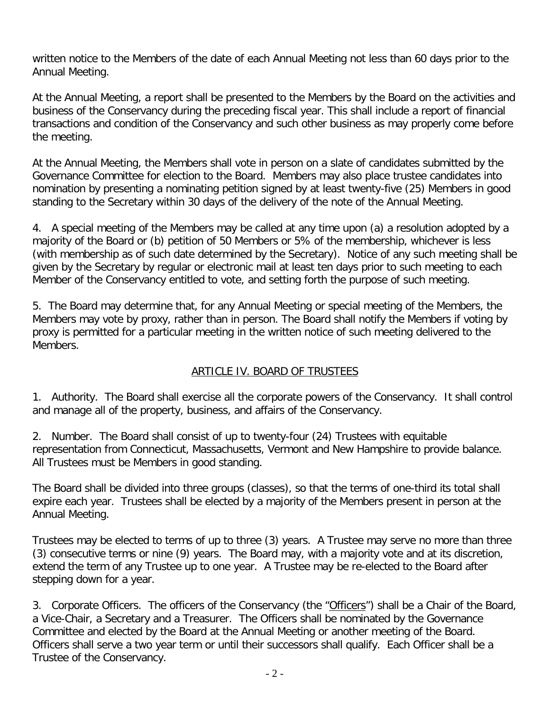written notice to the Members of the date of each Annual Meeting not less than 60 days prior to the Annual Meeting.

At the Annual Meeting, a report shall be presented to the Members by the Board on the activities and business of the Conservancy during the preceding fiscal year. This shall include a report of financial transactions and condition of the Conservancy and such other business as may properly come before the meeting.

At the Annual Meeting, the Members shall vote in person on a slate of candidates submitted by the Governance Committee for election to the Board. Members may also place trustee candidates into nomination by presenting a nominating petition signed by at least twenty-five (25) Members in good standing to the Secretary within 30 days of the delivery of the note of the Annual Meeting.

4. A special meeting of the Members may be called at any time upon (a) a resolution adopted by a majority of the Board or (b) petition of 50 Members or 5% of the membership, whichever is less (with membership as of such date determined by the Secretary). Notice of any such meeting shall be given by the Secretary by regular or electronic mail at least ten days prior to such meeting to each Member of the Conservancy entitled to vote, and setting forth the purpose of such meeting.

5. The Board may determine that, for any Annual Meeting or special meeting of the Members, the Members may vote by proxy, rather than in person. The Board shall notify the Members if voting by proxy is permitted for a particular meeting in the written notice of such meeting delivered to the Members.

# ARTICLE IV. BOARD OF TRUSTEES

1. Authority. The Board shall exercise all the corporate powers of the Conservancy. It shall control and manage all of the property, business, and affairs of the Conservancy.

2. Number. The Board shall consist of up to twenty-four (24) Trustees with equitable representation from Connecticut, Massachusetts, Vermont and New Hampshire to provide balance. All Trustees must be Members in good standing.

The Board shall be divided into three groups (classes), so that the terms of one-third its total shall expire each year. Trustees shall be elected by a majority of the Members present in person at the Annual Meeting.

Trustees may be elected to terms of up to three (3) years. A Trustee may serve no more than three (3) consecutive terms or nine (9) years. The Board may, with a majority vote and at its discretion, extend the term of any Trustee up to one year. A Trustee may be re-elected to the Board after stepping down for a year.

3. Corporate Officers. The officers of the Conservancy (the "Officers") shall be a Chair of the Board, a Vice-Chair, a Secretary and a Treasurer. The Officers shall be nominated by the Governance Committee and elected by the Board at the Annual Meeting or another meeting of the Board. Officers shall serve a two year term or until their successors shall qualify. Each Officer shall be a Trustee of the Conservancy.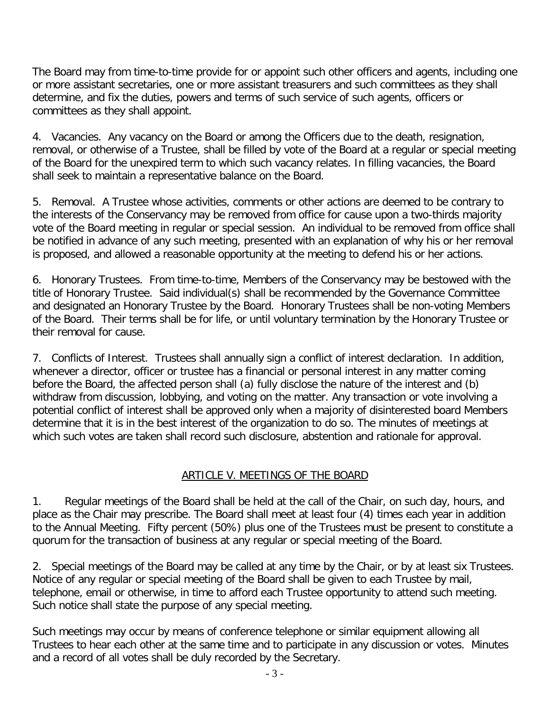The Board may from time-to-time provide for or appoint such other officers and agents, including one or more assistant secretaries, one or more assistant treasurers and such committees as they shall determine, and fix the duties, powers and terms of such service of such agents, officers or committees as they shall appoint.

4. Vacancies. Any vacancy on the Board or among the Officers due to the death, resignation, removal, or otherwise of a Trustee, shall be filled by vote of the Board at a regular or special meeting of the Board for the unexpired term to which such vacancy relates. In filling vacancies, the Board shall seek to maintain a representative balance on the Board.

5. Removal. A Trustee whose activities, comments or other actions are deemed to be contrary to the interests of the Conservancy may be removed from office for cause upon a two-thirds majority vote of the Board meeting in regular or special session. An individual to be removed from office shall be notified in advance of any such meeting, presented with an explanation of why his or her removal is proposed, and allowed a reasonable opportunity at the meeting to defend his or her actions.

6. Honorary Trustees. From time-to-time, Members of the Conservancy may be bestowed with the title of Honorary Trustee. Said individual(s) shall be recommended by the Governance Committee and designated an Honorary Trustee by the Board. Honorary Trustees shall be non-voting Members of the Board. Their terms shall be for life, or until voluntary termination by the Honorary Trustee or their removal for cause.

7. Conflicts of Interest. Trustees shall annually sign a conflict of interest declaration. In addition, whenever a director, officer or trustee has a financial or personal interest in any matter coming before the Board, the affected person shall (a) fully disclose the nature of the interest and (b) withdraw from discussion, lobbying, and voting on the matter. Any transaction or vote involving a potential conflict of interest shall be approved only when a majority of disinterested board Members determine that it is in the best interest of the organization to do so. The minutes of meetings at which such votes are taken shall record such disclosure, abstention and rationale for approval.

# ARTICLE V. MEETINGS OF THE BOARD

1. Regular meetings of the Board shall be held at the call of the Chair, on such day, hours, and place as the Chair may prescribe. The Board shall meet at least four (4) times each year in addition to the Annual Meeting. Fifty percent (50%) plus one of the Trustees must be present to constitute a quorum for the transaction of business at any regular or special meeting of the Board.

2. Special meetings of the Board may be called at any time by the Chair, or by at least six Trustees. Notice of any regular or special meeting of the Board shall be given to each Trustee by mail, telephone, email or otherwise, in time to afford each Trustee opportunity to attend such meeting. Such notice shall state the purpose of any special meeting.

Such meetings may occur by means of conference telephone or similar equipment allowing all Trustees to hear each other at the same time and to participate in any discussion or votes. Minutes and a record of all votes shall be duly recorded by the Secretary.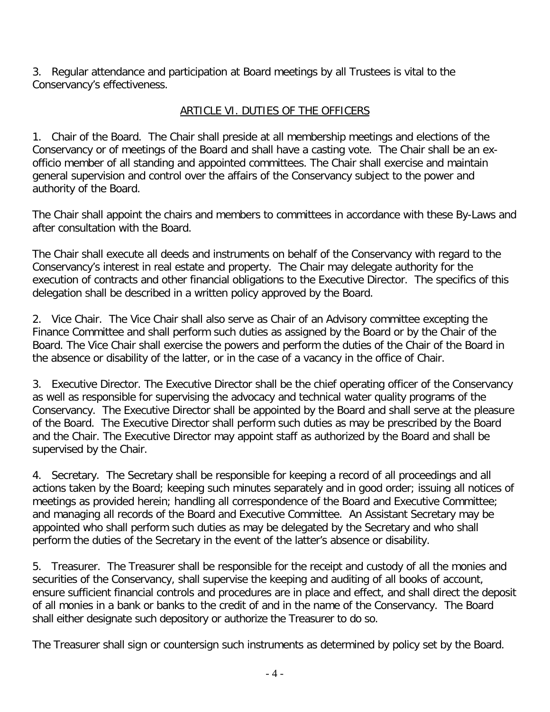3. Regular attendance and participation at Board meetings by all Trustees is vital to the Conservancy's effectiveness.

# ARTICLE VI. DUTIES OF THE OFFICERS

1. Chair of the Board. The Chair shall preside at all membership meetings and elections of the Conservancy or of meetings of the Board and shall have a casting vote. The Chair shall be an exofficio member of all standing and appointed committees. The Chair shall exercise and maintain general supervision and control over the affairs of the Conservancy subject to the power and authority of the Board.

The Chair shall appoint the chairs and members to committees in accordance with these By-Laws and after consultation with the Board.

The Chair shall execute all deeds and instruments on behalf of the Conservancy with regard to the Conservancy's interest in real estate and property. The Chair may delegate authority for the execution of contracts and other financial obligations to the Executive Director. The specifics of this delegation shall be described in a written policy approved by the Board.

2. Vice Chair. The Vice Chair shall also serve as Chair of an Advisory committee excepting the Finance Committee and shall perform such duties as assigned by the Board or by the Chair of the Board. The Vice Chair shall exercise the powers and perform the duties of the Chair of the Board in the absence or disability of the latter, or in the case of a vacancy in the office of Chair.

3. Executive Director. The Executive Director shall be the chief operating officer of the Conservancy as well as responsible for supervising the advocacy and technical water quality programs of the Conservancy. The Executive Director shall be appointed by the Board and shall serve at the pleasure of the Board. The Executive Director shall perform such duties as may be prescribed by the Board and the Chair. The Executive Director may appoint staff as authorized by the Board and shall be supervised by the Chair.

4. Secretary. The Secretary shall be responsible for keeping a record of all proceedings and all actions taken by the Board; keeping such minutes separately and in good order; issuing all notices of meetings as provided herein; handling all correspondence of the Board and Executive Committee; and managing all records of the Board and Executive Committee. An Assistant Secretary may be appointed who shall perform such duties as may be delegated by the Secretary and who shall perform the duties of the Secretary in the event of the latter's absence or disability.

5. Treasurer. The Treasurer shall be responsible for the receipt and custody of all the monies and securities of the Conservancy, shall supervise the keeping and auditing of all books of account, ensure sufficient financial controls and procedures are in place and effect, and shall direct the deposit of all monies in a bank or banks to the credit of and in the name of the Conservancy. The Board shall either designate such depository or authorize the Treasurer to do so.

The Treasurer shall sign or countersign such instruments as determined by policy set by the Board.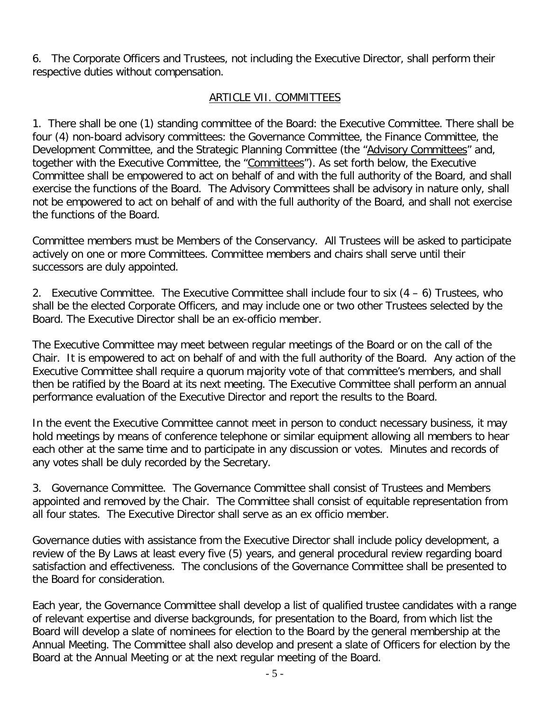6. The Corporate Officers and Trustees, not including the Executive Director, shall perform their respective duties without compensation.

### ARTICLE VII. COMMITTEES

1. There shall be one (1) standing committee of the Board: the Executive Committee. There shall be four (4) non-board advisory committees: the Governance Committee, the Finance Committee, the Development Committee, and the Strategic Planning Committee (the "Advisory Committees" and, together with the Executive Committee, the "Committees"). As set forth below, the Executive Committee shall be empowered to act on behalf of and with the full authority of the Board, and shall exercise the functions of the Board. The Advisory Committees shall be advisory in nature only, shall not be empowered to act on behalf of and with the full authority of the Board, and shall not exercise the functions of the Board.

Committee members must be Members of the Conservancy. All Trustees will be asked to participate actively on one or more Committees. Committee members and chairs shall serve until their successors are duly appointed.

2. Executive Committee. The Executive Committee shall include four to six (4 – 6) Trustees, who shall be the elected Corporate Officers, and may include one or two other Trustees selected by the Board. The Executive Director shall be an ex-officio member.

The Executive Committee may meet between regular meetings of the Board or on the call of the Chair. It is empowered to act on behalf of and with the full authority of the Board. Any action of the Executive Committee shall require a quorum majority vote of that committee's members, and shall then be ratified by the Board at its next meeting. The Executive Committee shall perform an annual performance evaluation of the Executive Director and report the results to the Board.

In the event the Executive Committee cannot meet in person to conduct necessary business, it may hold meetings by means of conference telephone or similar equipment allowing all members to hear each other at the same time and to participate in any discussion or votes. Minutes and records of any votes shall be duly recorded by the Secretary.

3. Governance Committee. The Governance Committee shall consist of Trustees and Members appointed and removed by the Chair. The Committee shall consist of equitable representation from all four states. The Executive Director shall serve as an ex officio member.

Governance duties with assistance from the Executive Director shall include policy development, a review of the By Laws at least every five (5) years, and general procedural review regarding board satisfaction and effectiveness. The conclusions of the Governance Committee shall be presented to the Board for consideration.

Each year, the Governance Committee shall develop a list of qualified trustee candidates with a range of relevant expertise and diverse backgrounds, for presentation to the Board, from which list the Board will develop a slate of nominees for election to the Board by the general membership at the Annual Meeting. The Committee shall also develop and present a slate of Officers for election by the Board at the Annual Meeting or at the next regular meeting of the Board.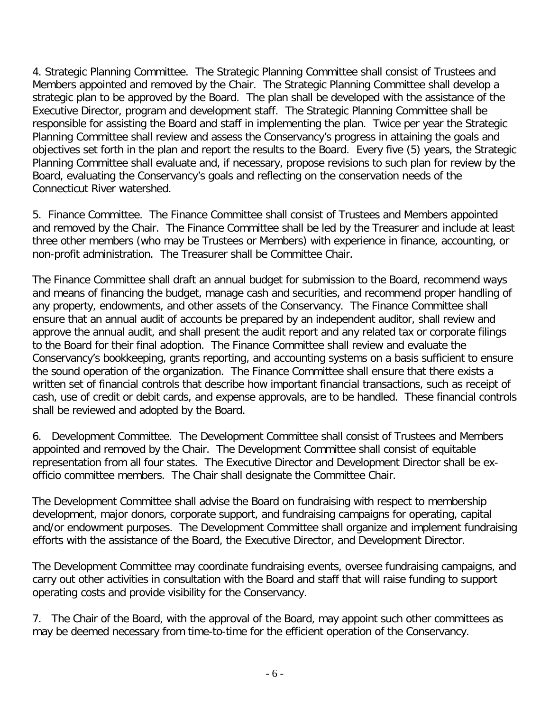4. Strategic Planning Committee. The Strategic Planning Committee shall consist of Trustees and Members appointed and removed by the Chair. The Strategic Planning Committee shall develop a strategic plan to be approved by the Board. The plan shall be developed with the assistance of the Executive Director, program and development staff. The Strategic Planning Committee shall be responsible for assisting the Board and staff in implementing the plan. Twice per year the Strategic Planning Committee shall review and assess the Conservancy's progress in attaining the goals and objectives set forth in the plan and report the results to the Board. Every five (5) years, the Strategic Planning Committee shall evaluate and, if necessary, propose revisions to such plan for review by the Board, evaluating the Conservancy's goals and reflecting on the conservation needs of the Connecticut River watershed.

5. Finance Committee. The Finance Committee shall consist of Trustees and Members appointed and removed by the Chair. The Finance Committee shall be led by the Treasurer and include at least three other members (who may be Trustees or Members) with experience in finance, accounting, or non-profit administration. The Treasurer shall be Committee Chair.

The Finance Committee shall draft an annual budget for submission to the Board, recommend ways and means of financing the budget, manage cash and securities, and recommend proper handling of any property, endowments, and other assets of the Conservancy. The Finance Committee shall ensure that an annual audit of accounts be prepared by an independent auditor, shall review and approve the annual audit, and shall present the audit report and any related tax or corporate filings to the Board for their final adoption. The Finance Committee shall review and evaluate the Conservancy's bookkeeping, grants reporting, and accounting systems on a basis sufficient to ensure the sound operation of the organization. The Finance Committee shall ensure that there exists a written set of financial controls that describe how important financial transactions, such as receipt of cash, use of credit or debit cards, and expense approvals, are to be handled. These financial controls shall be reviewed and adopted by the Board.

6. Development Committee. The Development Committee shall consist of Trustees and Members appointed and removed by the Chair. The Development Committee shall consist of equitable representation from all four states. The Executive Director and Development Director shall be exofficio committee members. The Chair shall designate the Committee Chair.

The Development Committee shall advise the Board on fundraising with respect to membership development, major donors, corporate support, and fundraising campaigns for operating, capital and/or endowment purposes. The Development Committee shall organize and implement fundraising efforts with the assistance of the Board, the Executive Director, and Development Director.

The Development Committee may coordinate fundraising events, oversee fundraising campaigns, and carry out other activities in consultation with the Board and staff that will raise funding to support operating costs and provide visibility for the Conservancy.

7. The Chair of the Board, with the approval of the Board, may appoint such other committees as may be deemed necessary from time-to-time for the efficient operation of the Conservancy.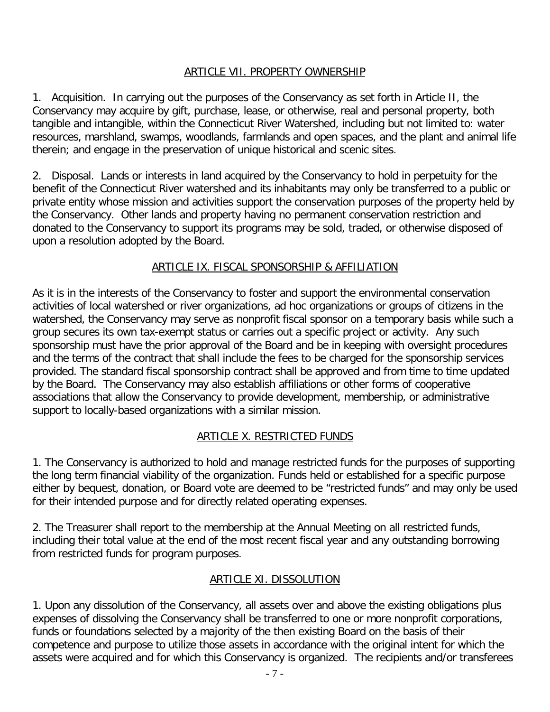### ARTICLE VII. PROPERTY OWNERSHIP

1. Acquisition. In carrying out the purposes of the Conservancy as set forth in Article II, the Conservancy may acquire by gift, purchase, lease, or otherwise, real and personal property, both tangible and intangible, within the Connecticut River Watershed, including but not limited to: water resources, marshland, swamps, woodlands, farmlands and open spaces, and the plant and animal life therein; and engage in the preservation of unique historical and scenic sites.

2. Disposal. Lands or interests in land acquired by the Conservancy to hold in perpetuity for the benefit of the Connecticut River watershed and its inhabitants may only be transferred to a public or private entity whose mission and activities support the conservation purposes of the property held by the Conservancy. Other lands and property having no permanent conservation restriction and donated to the Conservancy to support its programs may be sold, traded, or otherwise disposed of upon a resolution adopted by the Board.

### ARTICLE IX. FISCAL SPONSORSHIP & AFFILIATION

As it is in the interests of the Conservancy to foster and support the environmental conservation activities of local watershed or river organizations, ad hoc organizations or groups of citizens in the watershed, the Conservancy may serve as nonprofit fiscal sponsor on a temporary basis while such a group secures its own tax-exempt status or carries out a specific project or activity. Any such sponsorship must have the prior approval of the Board and be in keeping with oversight procedures and the terms of the contract that shall include the fees to be charged for the sponsorship services provided. The standard fiscal sponsorship contract shall be approved and from time to time updated by the Board. The Conservancy may also establish affiliations or other forms of cooperative associations that allow the Conservancy to provide development, membership, or administrative support to locally-based organizations with a similar mission.

# ARTICLE X. RESTRICTED FUNDS

1. The Conservancy is authorized to hold and manage restricted funds for the purposes of supporting the long term financial viability of the organization. Funds held or established for a specific purpose either by bequest, donation, or Board vote are deemed to be "restricted funds" and may only be used for their intended purpose and for directly related operating expenses.

2. The Treasurer shall report to the membership at the Annual Meeting on all restricted funds, including their total value at the end of the most recent fiscal year and any outstanding borrowing from restricted funds for program purposes.

### ARTICLE XI. DISSOLUTION

1. Upon any dissolution of the Conservancy, all assets over and above the existing obligations plus expenses of dissolving the Conservancy shall be transferred to one or more nonprofit corporations, funds or foundations selected by a majority of the then existing Board on the basis of their competence and purpose to utilize those assets in accordance with the original intent for which the assets were acquired and for which this Conservancy is organized. The recipients and/or transferees